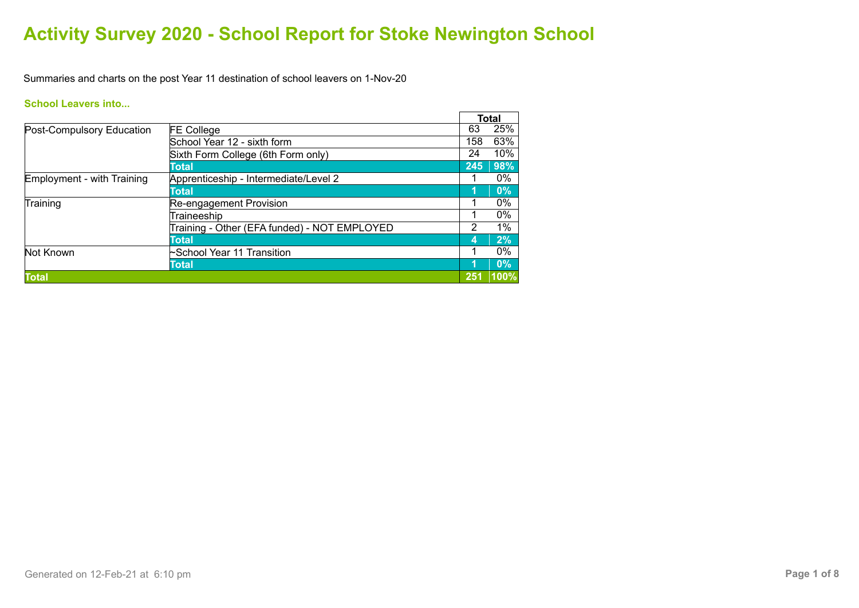Summaries and charts on the post Year 11 destination of school leavers on 1-Nov-20

### **School Leavers into...**

|                                   |                                              |     | <b>Total</b> |       |
|-----------------------------------|----------------------------------------------|-----|--------------|-------|
| Post-Compulsory Education         | <b>FE College</b>                            | 63  |              | 25%   |
|                                   | School Year 12 - sixth form                  | 158 |              | 63%   |
|                                   | Sixth Form College (6th Form only)           | 24  |              | 10%   |
|                                   | Total                                        | 245 |              | 98%   |
| <b>Employment - with Training</b> | Apprenticeship - Intermediate/Level 2        |     |              | 0%    |
|                                   | Total                                        |     |              | 0%    |
| Training                          | Re-engagement Provision                      |     |              | $0\%$ |
|                                   | Traineeship                                  |     |              | 0%    |
|                                   | Training - Other (EFA funded) - NOT EMPLOYED | 2   |              | 1%    |
|                                   | Total                                        | 4   |              | 2%    |
| Not Known                         | School Year 11 Transition                    |     |              | 0%    |
|                                   | Total                                        | 1   |              | $0\%$ |
| <b>Total</b>                      |                                              | 251 |              | 100%  |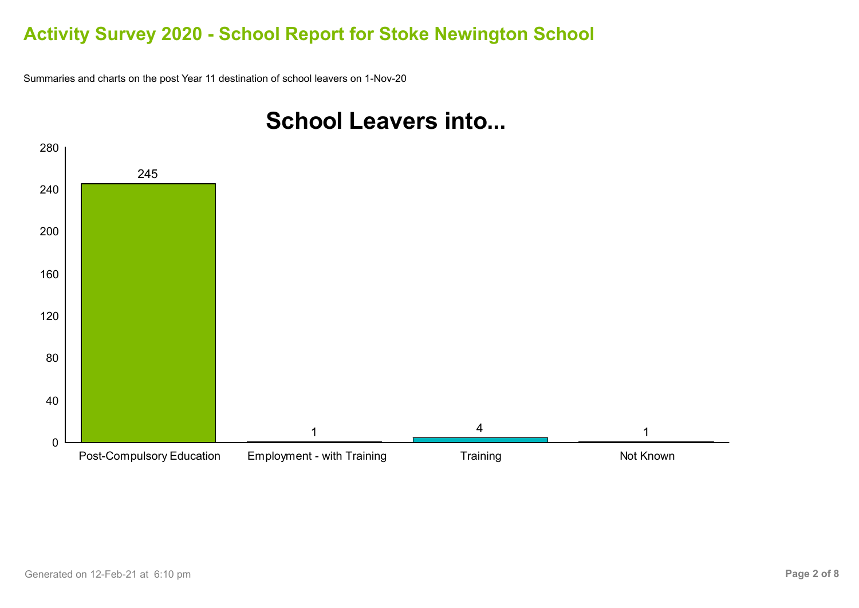Summaries and charts on the post Year 11 destination of school leavers on 1-Nov-20



# **School Leavers into...**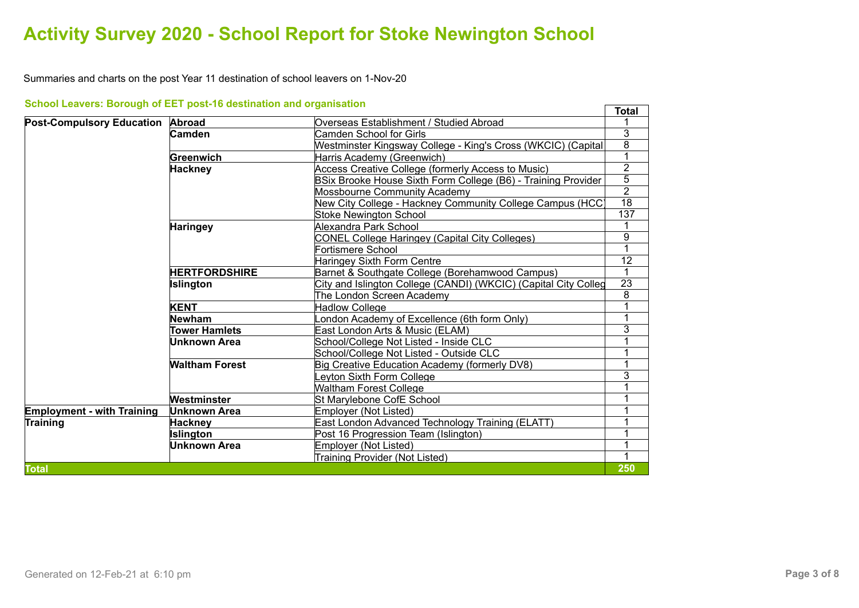Summaries and charts on the post Year 11 destination of school leavers on 1-Nov-20

|                                         |                       |                                                                 | <b>Total</b>    |
|-----------------------------------------|-----------------------|-----------------------------------------------------------------|-----------------|
| <b>Post-Compulsory Education Abroad</b> |                       | Overseas Establishment / Studied Abroad                         |                 |
|                                         | Camden                | Camden School for Girls                                         | 3               |
|                                         |                       | Westminster Kingsway College - King's Cross (WKCIC) (Capital    | $\overline{8}$  |
|                                         | Greenwich             | Harris Academy (Greenwich)                                      |                 |
|                                         | <b>Hackney</b>        | Access Creative College (formerly Access to Music)              | $\overline{2}$  |
|                                         |                       | BSix Brooke House Sixth Form College (B6) - Training Provider   | $\overline{5}$  |
|                                         |                       | Mossbourne Community Academy                                    | $\overline{2}$  |
|                                         |                       | New City College - Hackney Community College Campus (HCC)       | $\overline{18}$ |
|                                         |                       | <b>Stoke Newington School</b>                                   | 137             |
|                                         | <b>Haringey</b>       | Alexandra Park School                                           |                 |
|                                         |                       | <b>CONEL College Haringey (Capital City Colleges)</b>           | 9               |
|                                         |                       | Fortismere School                                               |                 |
|                                         |                       | Haringey Sixth Form Centre                                      | $\overline{12}$ |
|                                         | <b>HERTFORDSHIRE</b>  | Barnet & Southgate College (Borehamwood Campus)                 | 1               |
|                                         | Islington             | City and Islington College (CANDI) (WKCIC) (Capital City Colleg | $\overline{23}$ |
|                                         |                       | The London Screen Academy                                       | $\overline{8}$  |
|                                         | <b>KENT</b>           | <b>Hadlow College</b>                                           | 1               |
|                                         | Newham                | ondon Academy of Excellence (6th form Only)                     |                 |
|                                         | <b>Tower Hamlets</b>  | East London Arts & Music (ELAM)                                 | 3               |
|                                         | Unknown Area          | School/College Not Listed - Inside CLC                          |                 |
|                                         |                       | School/College Not Listed - Outside CLC                         |                 |
|                                         | <b>Waltham Forest</b> | Big Creative Education Academy (formerly DV8)                   |                 |
|                                         |                       | Leyton Sixth Form College                                       | $\overline{3}$  |
|                                         |                       | <b>Waltham Forest College</b>                                   |                 |
|                                         | Westminster           | St Marylebone CofE School                                       |                 |
| <b>Employment - with Training</b>       | Unknown Area          | Employer (Not Listed)                                           |                 |
| <b>Training</b>                         | Hackney               | East London Advanced Technology Training (ELATT)                |                 |
|                                         | <b>Islington</b>      | Post 16 Progression Team (Islington)                            | 1               |
|                                         | <b>Unknown Area</b>   | Employer (Not Listed)                                           |                 |
|                                         |                       | Training Provider (Not Listed)                                  |                 |
| <b>Total</b>                            |                       |                                                                 | 250             |

### **School Leavers: Borough of EET post-16 destination and organisation**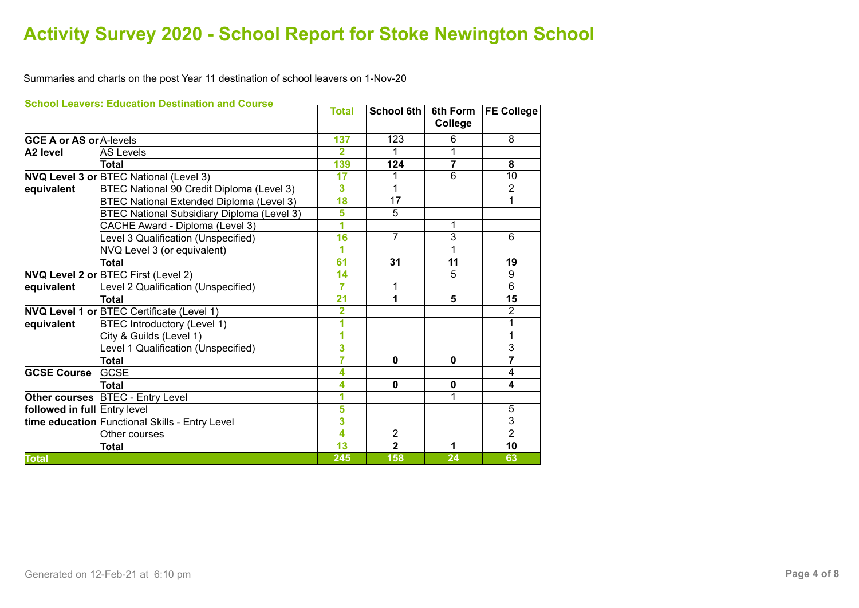Summaries and charts on the post Year 11 destination of school leavers on 1-Nov-20

|                                | <b>School Leavers: Education Destination and Course</b> | <b>Total</b>            | <b>School 6th</b> | 6th Form<br>College | <b>FE College</b> |
|--------------------------------|---------------------------------------------------------|-------------------------|-------------------|---------------------|-------------------|
| <b>GCE A or AS or A-levels</b> |                                                         | 137                     | 123               | 6                   | 8                 |
| A <sub>2</sub> level           | <b>AS Levels</b>                                        | $\overline{2}$          | 1                 | 1                   |                   |
|                                | Total                                                   | 139                     | 124               | $\overline{7}$      | 8                 |
|                                | <b>NVQ Level 3 or BTEC National (Level 3)</b>           | 17                      |                   | $\overline{6}$      | $\overline{10}$   |
| equivalent                     | BTEC National 90 Credit Diploma (Level 3)               | 3                       |                   |                     | $\overline{2}$    |
|                                | BTEC National Extended Diploma (Level 3)                | 18                      | $\overline{17}$   |                     | 1                 |
|                                | <b>BTEC National Subsidiary Diploma (Level 3)</b>       | 5                       | 5                 |                     |                   |
|                                | CACHE Award - Diploma (Level 3)                         | $\overline{\mathbf{1}}$ |                   | 1                   |                   |
|                                | Level 3 Qualification (Unspecified)                     | 16                      | $\overline{7}$    | $\overline{3}$      | 6                 |
|                                | NVQ Level 3 (or equivalent)                             | 1                       |                   | 1                   |                   |
|                                | Total                                                   | 61                      | 31                | 11                  | 19                |
|                                | NVQ Level 2 or BTEC First (Level 2)                     | 14                      |                   | 5                   | 9                 |
| equivalent                     | Level 2 Qualification (Unspecified)                     | 7                       | 1                 |                     | $\overline{6}$    |
|                                | <b>Total</b>                                            | 21                      | 1                 | 5                   | 15                |
|                                | <b>NVQ Level 1 or BTEC Certificate (Level 1)</b>        | 2                       |                   |                     | $\overline{2}$    |
| equivalent                     | <b>BTEC Introductory (Level 1)</b>                      | 1                       |                   |                     | 1                 |
|                                | City & Guilds (Level 1)                                 | 1                       |                   |                     | 1                 |
|                                | Level 1 Qualification (Unspecified)                     | 3                       |                   |                     | $\overline{3}$    |
|                                | <b>Total</b>                                            | 7                       | $\mathbf{0}$      | 0                   | $\overline{7}$    |
| <b>GCSE Course</b>             | <b>GCSE</b>                                             | 4                       |                   |                     | $\overline{4}$    |
|                                | <b>Total</b>                                            | 4                       | $\mathbf 0$       | $\mathbf 0$         | 4                 |
|                                | <b>Other courses</b> BTEC - Entry Level                 | 1                       |                   | 1                   |                   |
| followed in full Entry level   |                                                         | 5                       |                   |                     | 5                 |
|                                | time education Functional Skills - Entry Level          | $\overline{\mathbf{3}}$ |                   |                     | $\overline{3}$    |
|                                | Other courses                                           | 4                       | 2                 |                     | $\overline{2}$    |
|                                | <b>Total</b>                                            | $\overline{13}$         | $\overline{2}$    | 1                   | 10                |
| <b>Total</b>                   |                                                         | 245                     | 158               | 24                  | 63                |

#### **School Leavers: Education Destination and Course**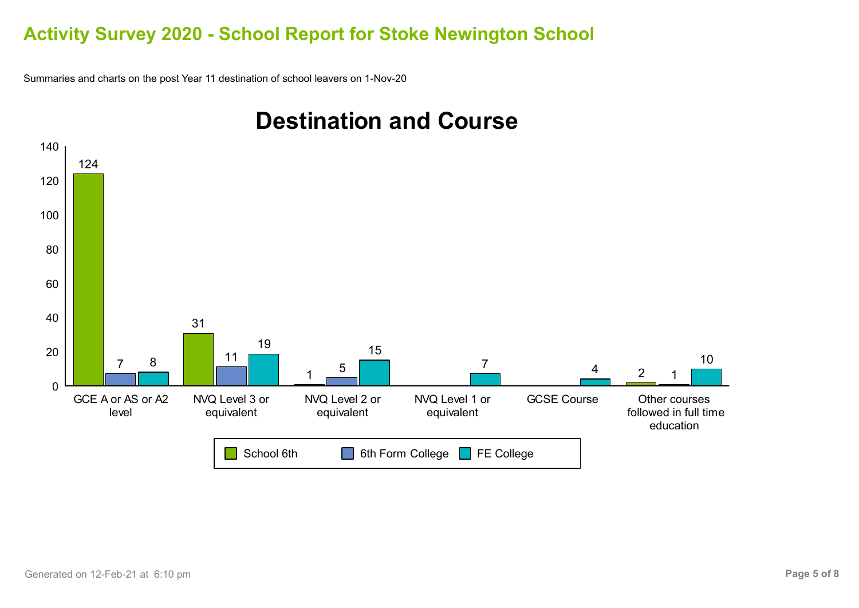Summaries and charts on the post Year 11 destination of school leavers on 1-Nov-20



# **Destination and Course**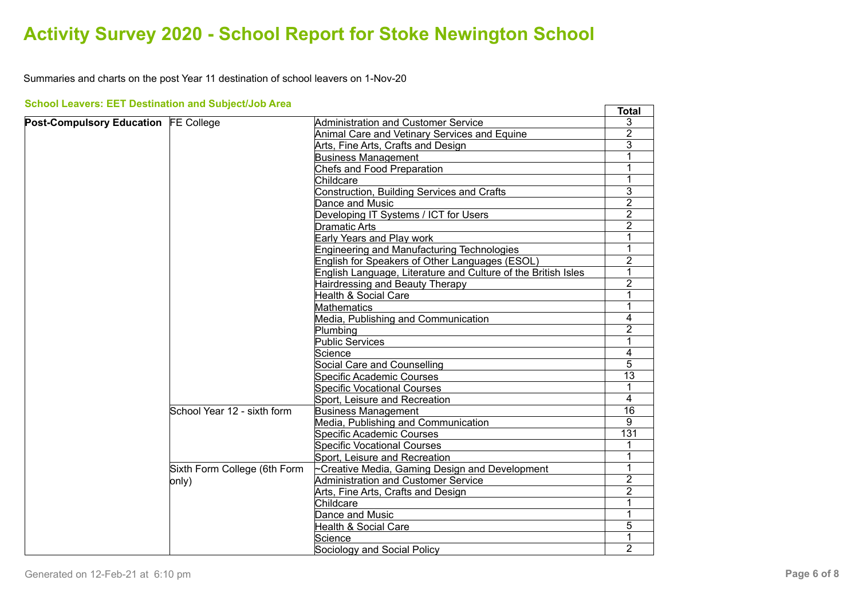Summaries and charts on the post Year 11 destination of school leavers on 1-Nov-20

| <b>School Leavers: EET Destination and Subject/Job Area</b> |                              |                                                               | <b>Total</b>                                                                |
|-------------------------------------------------------------|------------------------------|---------------------------------------------------------------|-----------------------------------------------------------------------------|
| Post-Compulsory Education FE College                        |                              | Administration and Customer Service                           | 3                                                                           |
|                                                             |                              | Animal Care and Vetinary Services and Equine                  | 2                                                                           |
|                                                             |                              | Arts, Fine Arts, Crafts and Design                            | 3                                                                           |
|                                                             |                              | <b>Business Management</b>                                    | 1                                                                           |
|                                                             |                              | <b>Chefs and Food Preparation</b>                             | 1                                                                           |
|                                                             |                              | Childcare                                                     | 1                                                                           |
|                                                             |                              | <b>Construction, Building Services and Crafts</b>             | $\overline{3}$                                                              |
|                                                             |                              | Dance and Music                                               | $\overline{2}$                                                              |
|                                                             |                              | Developing IT Systems / ICT for Users                         | $\overline{2}$                                                              |
|                                                             |                              | <b>Dramatic Arts</b>                                          | $\overline{2}$                                                              |
|                                                             |                              | Early Years and Play work                                     |                                                                             |
|                                                             |                              | <b>Engineering and Manufacturing Technologies</b>             | 1                                                                           |
|                                                             |                              | English for Speakers of Other Languages (ESOL)                | $\overline{2}$                                                              |
|                                                             |                              | English Language, Literature and Culture of the British Isles | 1                                                                           |
|                                                             |                              | Hairdressing and Beauty Therapy                               | $\overline{2}$                                                              |
|                                                             |                              | Health & Social Care                                          |                                                                             |
|                                                             |                              | <b>Mathematics</b>                                            | 1                                                                           |
|                                                             |                              | Media, Publishing and Communication                           | 4                                                                           |
|                                                             |                              | Plumbing                                                      | $\overline{2}$                                                              |
|                                                             |                              | <b>Public Services</b>                                        | 1                                                                           |
|                                                             |                              | Science                                                       | 4                                                                           |
|                                                             |                              | Social Care and Counselling                                   | 5                                                                           |
|                                                             |                              | <b>Specific Academic Courses</b>                              | $\overline{13}$                                                             |
|                                                             |                              | <b>Specific Vocational Courses</b>                            | 1                                                                           |
|                                                             |                              | Sport, Leisure and Recreation                                 | 4                                                                           |
|                                                             | School Year 12 - sixth form  | <b>Business Management</b>                                    | 16<br>9<br>$\overline{131}$<br>1<br>1<br>$\overline{2}$<br>2<br>1<br>1<br>5 |
|                                                             |                              | Media, Publishing and Communication                           |                                                                             |
|                                                             |                              | Specific Academic Courses                                     |                                                                             |
|                                                             |                              | <b>Specific Vocational Courses</b>                            |                                                                             |
|                                                             |                              | Sport, Leisure and Recreation                                 |                                                                             |
|                                                             | Sixth Form College (6th Form | $\sim$ Creative Media, Gaming Design and Development          |                                                                             |
|                                                             | only)                        | Administration and Customer Service                           |                                                                             |
|                                                             |                              | Arts, Fine Arts, Crafts and Design                            |                                                                             |
|                                                             |                              | Childcare                                                     |                                                                             |
|                                                             |                              | Dance and Music                                               |                                                                             |
|                                                             |                              | <b>Health &amp; Social Care</b>                               |                                                                             |
|                                                             |                              | Science                                                       |                                                                             |
|                                                             |                              | Sociology and Social Policy                                   | $\overline{2}$                                                              |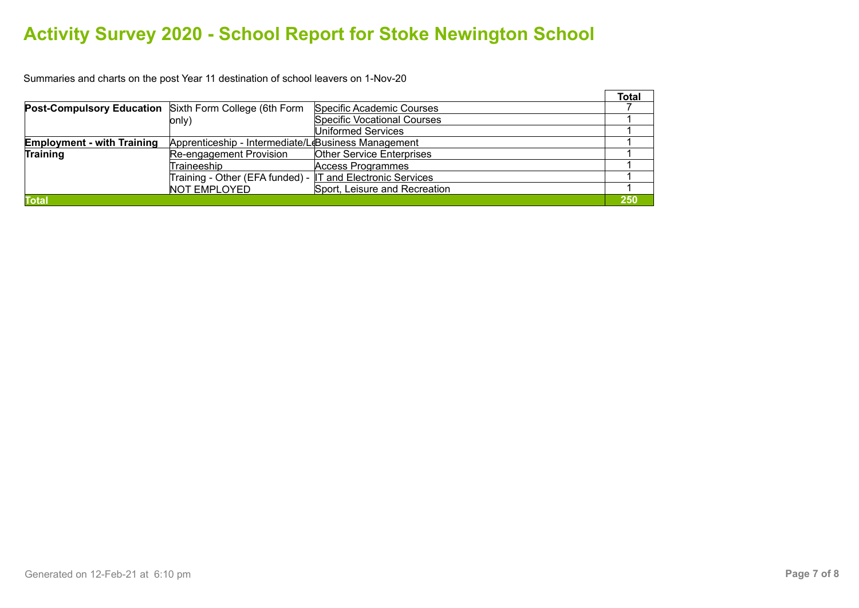Summaries and charts on the post Year 11 destination of school leavers on 1-Nov-20

|                                                               |                                                            |                                    | <b>Total</b> |
|---------------------------------------------------------------|------------------------------------------------------------|------------------------------------|--------------|
| <b>Post-Compulsory Education</b> Sixth Form College (6th Form |                                                            | Specific Academic Courses          |              |
|                                                               | only)                                                      | <b>Specific Vocational Courses</b> |              |
|                                                               |                                                            | Uniformed Services                 |              |
| <b>Employment - with Training</b>                             | Apprenticeship - Intermediate/LeBusiness Management        |                                    |              |
| <b>Training</b>                                               | Re-engagement Provision                                    | <b>Other Service Enterprises</b>   |              |
|                                                               | Traineeship                                                | Access Programmes                  |              |
|                                                               | Training - Other (EFA funded) - IT and Electronic Services |                                    |              |
|                                                               | <b>NOT EMPLOYED</b>                                        | Sport, Leisure and Recreation      |              |
| <b>Total</b>                                                  |                                                            |                                    | 250          |